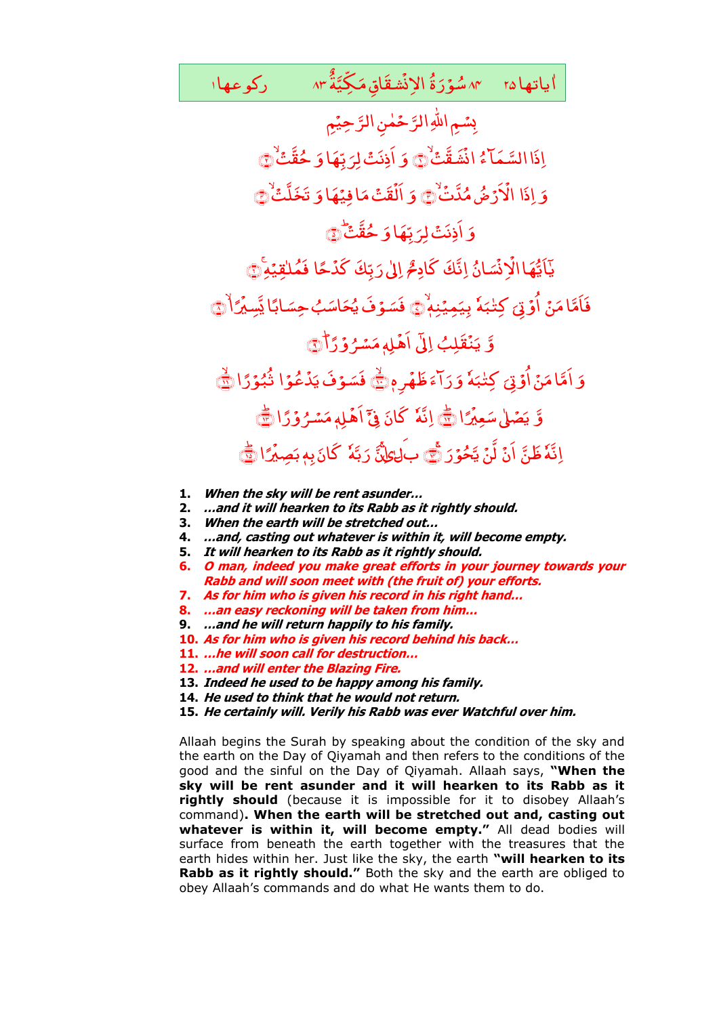٨٣ سُوَرَةُ الإِنِّشْقَاقِ مَكِيَّةٌ ٨٣ َ و<br><mark>سۇ</mark>ر ٌ ٞ<sup>ؙۺ</sup>ڦؘٵقِ مَكِّيَّةَ ۔<br>' یاتها ۲۵ مگورةُ الإِنِّشقَاق مَکِیَّةُ ۸۳ ٰ ا ياتها ۲۵

رَّحِیْمِ حَمٰنِ الرَّ سُمِ اللهِ الرَّ ِ ُ اِذَا السَّ<mark>مَا</mark>ٓءُ انۡشَقَّتُ انْشَقَّتْ۞ َ  $\tilde{9}$ َ <sub>ت</sub>ِهَا وَ َ اَذِنَتۡ لِرَبِّهَا وَ حُقَّتۡ ٰ ﴾ وَ اِذَا الْأَرۡضُ مُدَّتۡ <u>់</u> الْأَرْضُ مُدَّتَٰ۞ َ  $\tilde{9}$ َ *ت*افِیۡهَاوَ ِ<br>قَتَ مَ ْ اللَّقَتَ مَا فِيُهَا وَ تَخَلَّتُ ١ َ  $\tilde{9}$ َ بِّهَا *وَ* َ اَذِنَتۡ لِرَبِّهَا وَ حُقَّتۡ ﴾ ُ ان َ ئىپ ۡ ؚ<br>ذ ْ یائیُّهَا الَّاِنۡسَانُ اِنَّكَ كَادِمُّ اِلٰى رَبِّكَ كَدُحًا َّبِّكَ كَدُ ا<br>أ اِلٰى رَبِّكَ كَدْحًا فَمُلْقِيْهِ ۚ ر<br>در ام<br>ا فَاَمَّامَنۡ اُوۡتِیۡ کِتٰۃِمٗ ا<br>ا **ِکنڈ** ا<br>ا اُوۡتِیۡ کِتٰیَہٗ بِیَمِیۡنِہٖۙ۞ فَسَوۡفَ یُحَاسَبُ حِسَابًا یَّسِیۡرَ اُ .<br>, <mark>ابًا يَّسِيُرً</mark> َ <sub>َ</sub>حَاسَبُ حِسَ ۇفُ يُ<sup>ّ</sup> فَسَوْفَ يُحَاسَبُ حِسَابًا يَسِيَرًا ۞ َّ **قَلِبُ** ؚ<br>ؙ نذ <u>َ</u> یَنۡقَلِبُ إِلَىٰٓ اَهُلهِ مَسۡمُ وَرَّأَ ر<br>ر ر<br>منسو َ ِ ٖہِل م ۡ اَهۡلِهٖ مَسۡرُوۡرَٰٓ ۗ أَيۡ َ وَ اَمَّامَنْ اُوۡ <sub>ف</sub>َىٰ كِتٰلِيَ**لَ**ٰ َ ُک<sup>یا</sup> ً<br>ا نُ أُوَّتِيَ ام<br>ا اَمَّا مَنْ اُوۡتِیَ کِتَٰٓبَهٗ وَرَآءَ ظَهُرِمٖ .<br>, ہ َ َ آءَ َ ر َ وَرَاءَ ظَهْرِهٖ ﴾ فَسَوْفَ يَدُعُوْ ْ ڈ ۇفَ يَ<sub>ّ</sub> فَسَوْفَ يَدُعُوۡا تُبُوۡرًا ا<br>ا ثَبُوۡرًا ﴾ وَّ يَصۡلٰى سَعِيۡرًا .<br>• <sub>س</sub>َعِیۡرً یَصۡلٰی سَعِیۡرًا کِے اِنَّہٗ کَانَ فِیۡٓ اَهۡلِهٖ مَسۡرُوۡرًا ر<br>ِ ر<br>منسر َ ِ ٖہِل م **ّ** اَهۡلِهٖمَسۡرُوۡرًا ﴾ ِ<br>اِن<mark>َّهٗ ظَنَّ</mark> ا<sup>َ</sup>نَ ا<br>ا لَّنۡ یَّحُوۡرَ نَّے بَلٰالِمَنَّ رَبَّهٗ ا<br>ا رَ بَّهٗ کَانَ بِهِ بَصِيْرًا ۡ ػ**انَ <sub>ب</sub>ِهٖ بَصِيرًا** <mark>ک</mark>َ

- **1. When the sky will be rent asunder…**
- **2. …and it will hearken to its Rabb as it rightly should.**
- **3. When the earth will be stretched out…**
- **4. …and, casting out whatever is within it, will become empty.**
- **5. It will hearken to its Rabb as it rightly should.**
- **6. O man, indeed you make great efforts in your journey towards your Rabb and will soon meet with (the fruit of) your efforts.**
- **7. As for him who is given his record in his right hand…**
- **8. …an easy reckoning will be taken from him…**
- **9. …and he will return happily to his family.**
- **10. As for him who is given his record behind his back…**
- **11. …he will soon call for destruction…**
- **12. …and will enter the Blazing Fire.**
- **13. Indeed he used to be happy among his family.**
- **14. He used to think that he would not return.**
- **15. He certainly will. Verily his Rabb was ever Watchful over him.**

Allaah begins the Surah by speaking about the condition of the sky and the earth on the Day of Qiyamah and then refers to the conditions of the good and the sinful on the Day of Qiyamah. Allaah says, **"When the sky will be rent asunder and it will hearken to its Rabb as it rightly should** (because it is impossible for it to disobey Allaah's command)**. When the earth will be stretched out and, casting out whatever is within it, will become empty."** All dead bodies will surface from beneath the earth together with the treasures that the earth hides within her. Just like the sky, the earth **"will hearken to its Rabb as it rightly should."** Both the sky and the earth are obliged to obey Allaah's commands and do what He wants them to do.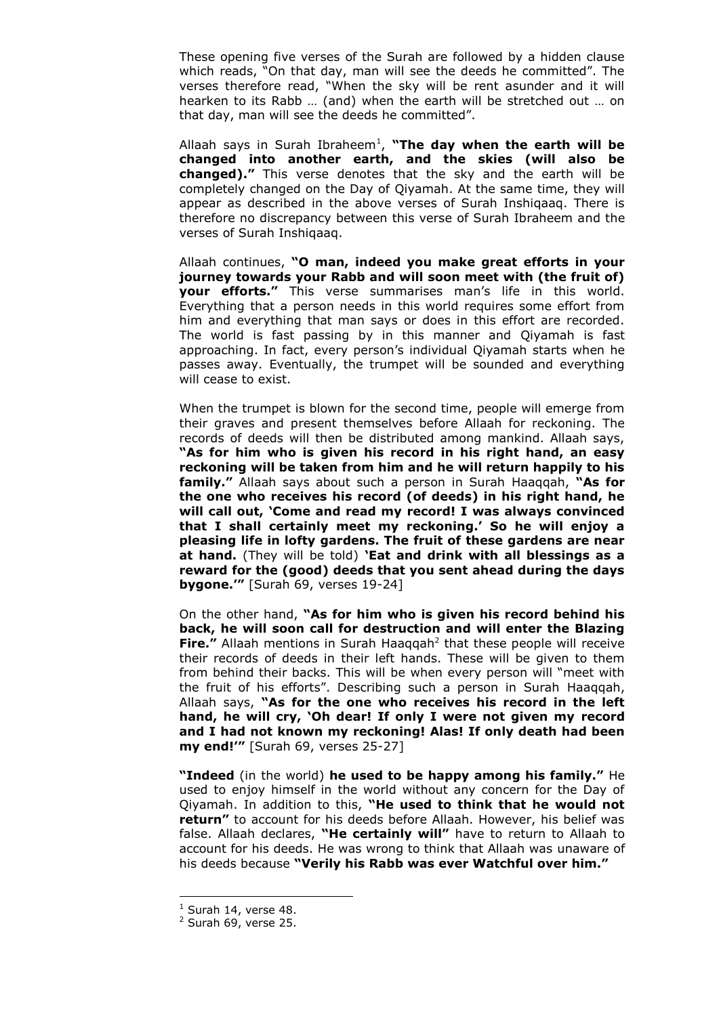These opening five verses of the Surah are followed by a hidden clause which reads, "On that day, man will see the deeds he committed". The verses therefore read, "When the sky will be rent asunder and it will hearken to its Rabb … (and) when the earth will be stretched out … on that day, man will see the deeds he committed".

Allaah says in Surah Ibraheem<sup>1</sup>, "The day when the earth will be **changed into another earth, and the skies (will also be changed)."** This verse denotes that the sky and the earth will be completely changed on the Day of Qiyamah. At the same time, they will appear as described in the above verses of Surah Inshiqaaq. There is therefore no discrepancy between this verse of Surah Ibraheem and the verses of Surah Inshiqaaq.

Allaah continues, **"O man, indeed you make great efforts in your journey towards your Rabb and will soon meet with (the fruit of) your efforts."** This verse summarises man's life in this world. Everything that a person needs in this world requires some effort from him and everything that man says or does in this effort are recorded. The world is fast passing by in this manner and Qiyamah is fast approaching. In fact, every person's individual Qiyamah starts when he passes away. Eventually, the trumpet will be sounded and everything will cease to exist.

When the trumpet is blown for the second time, people will emerge from their graves and present themselves before Allaah for reckoning. The records of deeds will then be distributed among mankind. Allaah says, **"As for him who is given his record in his right hand, an easy reckoning will be taken from him and he will return happily to his family."** Allaah says about such a person in Surah Haaqqah, **"As for the one who receives his record (of deeds) in his right hand, he will call out, "Come and read my record! I was always convinced that I shall certainly meet my reckoning." So he will enjoy a pleasing life in lofty gardens. The fruit of these gardens are near at hand.** (They will be told) **"Eat and drink with all blessings as a reward for the (good) deeds that you sent ahead during the days bygone.""** [Surah 69, verses 19-24]

On the other hand, **"As for him who is given his record behind his back, he will soon call for destruction and will enter the Blazing Fire."** Allaah mentions in Surah Haaqqah<sup>2</sup> that these people will receive their records of deeds in their left hands. These will be given to them from behind their backs. This will be when every person will "meet with the fruit of his efforts". Describing such a person in Surah Haaqqah, Allaah says, **"As for the one who receives his record in the left hand, he will cry, "Oh dear! If only I were not given my record and I had not known my reckoning! Alas! If only death had been my end!""** [Surah 69, verses 25-27]

**"Indeed** (in the world) **he used to be happy among his family."** He used to enjoy himself in the world without any concern for the Day of Qiyamah. In addition to this, **"He used to think that he would not return"** to account for his deeds before Allaah. However, his belief was false. Allaah declares, **"He certainly will"** have to return to Allaah to account for his deeds. He was wrong to think that Allaah was unaware of his deeds because **"Verily his Rabb was ever Watchful over him."** 

-

 $<sup>1</sup>$  Surah 14, verse 48.</sup>

 $2$  Surah 69, verse 25.